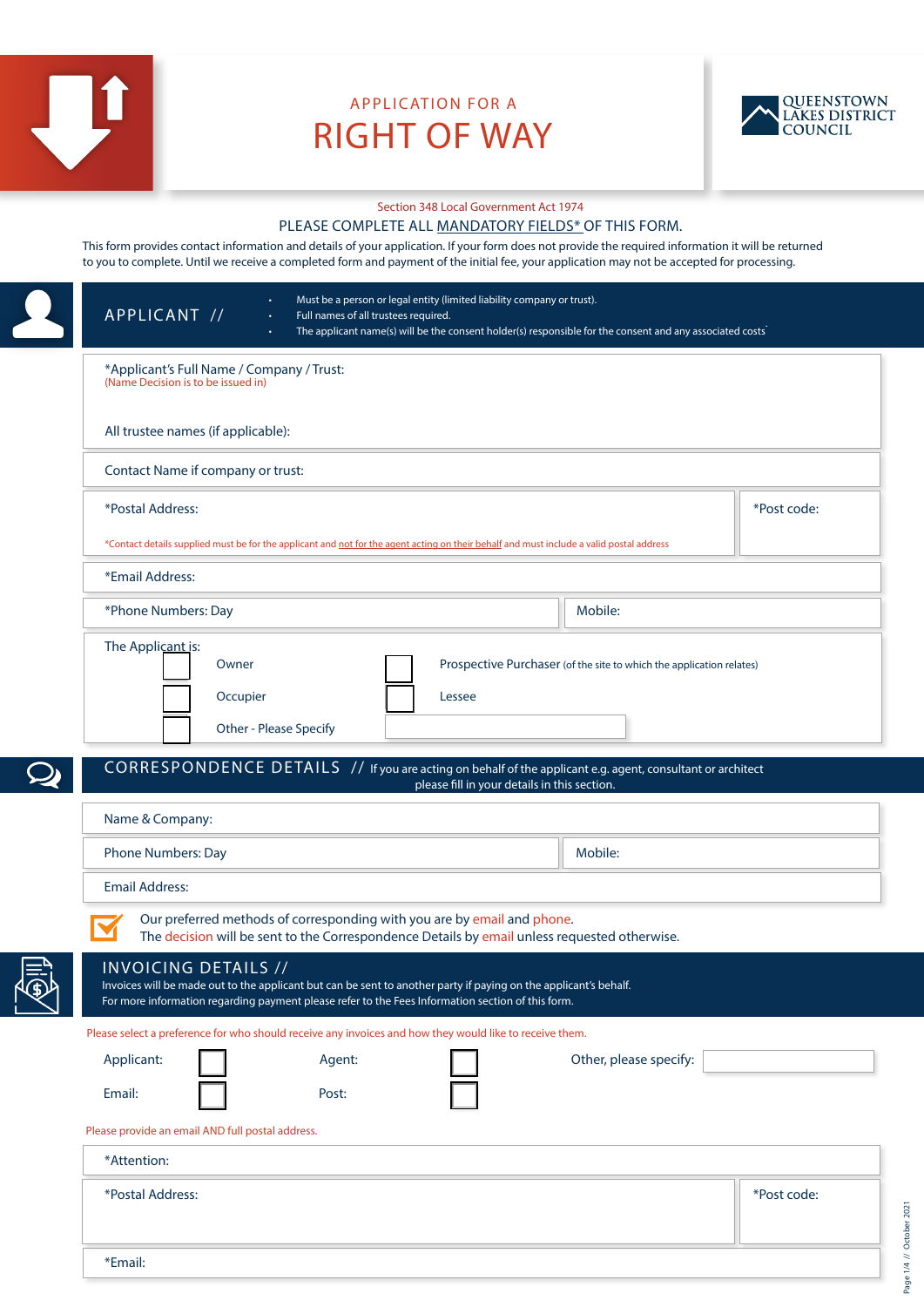

# APPLICATION FOR A RIGHT OF WAY



#### Section 348 Local Government Act 1974

#### PLEASE COMPLETE ALL MANDATORY FIELDS\* OF THIS FORM.

This form provides contact information and details of your application. If your form does not provide the required information it will be returned to you to complete. Until we receive a completed form and payment of the initial fee, your application may not be accepted for processing.

| APPLICANT //                                                                                                                                                                  | Full names of all trustees required.                                                                                                                                         | Must be a person or legal entity (limited liability company or trust).<br>The applicant name(s) will be the consent holder(s) responsible for the consent and any associated costs                               |             |  |  |
|-------------------------------------------------------------------------------------------------------------------------------------------------------------------------------|------------------------------------------------------------------------------------------------------------------------------------------------------------------------------|------------------------------------------------------------------------------------------------------------------------------------------------------------------------------------------------------------------|-------------|--|--|
| *Applicant's Full Name / Company / Trust:<br>(Name Decision is to be issued in)                                                                                               |                                                                                                                                                                              |                                                                                                                                                                                                                  |             |  |  |
| All trustee names (if applicable):                                                                                                                                            |                                                                                                                                                                              |                                                                                                                                                                                                                  |             |  |  |
| Contact Name if company or trust:                                                                                                                                             |                                                                                                                                                                              |                                                                                                                                                                                                                  |             |  |  |
| *Postal Address:                                                                                                                                                              |                                                                                                                                                                              |                                                                                                                                                                                                                  | *Post code: |  |  |
| *Contact details supplied must be for the applicant and not for the agent acting on their behalf and must include a valid postal address<br>*Email Address:                   |                                                                                                                                                                              |                                                                                                                                                                                                                  |             |  |  |
| Mobile:<br>*Phone Numbers: Day                                                                                                                                                |                                                                                                                                                                              |                                                                                                                                                                                                                  |             |  |  |
| The Applicant is:<br>Owner<br>Occupier                                                                                                                                        | Other - Please Specify                                                                                                                                                       | Prospective Purchaser (of the site to which the application relates)<br>Lessee                                                                                                                                   |             |  |  |
| CORRESPONDENCE DETAILS // If you are acting on behalf of the applicant e.g. agent, consultant or architect<br>please fill in your details in this section.<br>Name & Company: |                                                                                                                                                                              |                                                                                                                                                                                                                  |             |  |  |
| <b>Phone Numbers: Day</b>                                                                                                                                                     |                                                                                                                                                                              | Mobile:                                                                                                                                                                                                          |             |  |  |
| <b>Email Address:</b>                                                                                                                                                         |                                                                                                                                                                              |                                                                                                                                                                                                                  |             |  |  |
| INVOICING DETAILS //                                                                                                                                                          | Our preferred methods of corresponding with you are by email and phone.<br>For more information regarding payment please refer to the Fees Information section of this form. | The decision will be sent to the Correspondence Details by email unless requested otherwise.<br>Invoices will be made out to the applicant but can be sent to another party if paying on the applicant's behalf. |             |  |  |
| Applicant:                                                                                                                                                                    | Please select a preference for who should receive any invoices and how they would like to receive them.                                                                      | Other, please specify:                                                                                                                                                                                           |             |  |  |
| Email:                                                                                                                                                                        | Agent:<br>Post:                                                                                                                                                              |                                                                                                                                                                                                                  |             |  |  |
| Please provide an email AND full postal address.                                                                                                                              |                                                                                                                                                                              |                                                                                                                                                                                                                  |             |  |  |
| *Attention:                                                                                                                                                                   |                                                                                                                                                                              |                                                                                                                                                                                                                  |             |  |  |
| *Postal Address:                                                                                                                                                              |                                                                                                                                                                              |                                                                                                                                                                                                                  | *Post code: |  |  |
| *Email:                                                                                                                                                                       |                                                                                                                                                                              |                                                                                                                                                                                                                  |             |  |  |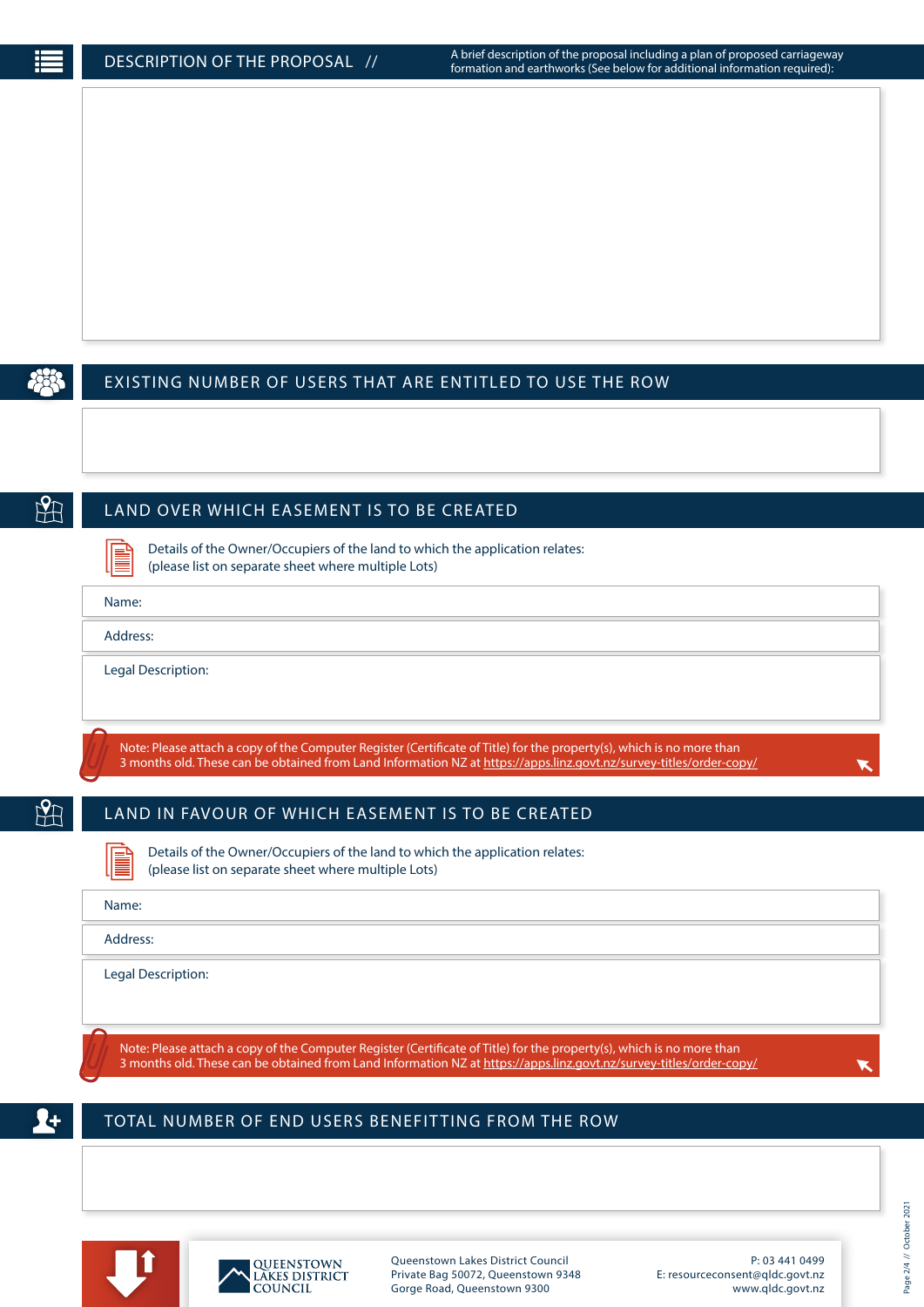## EXISTING NUMBER OF USERS THAT ARE ENTITLED TO USE THE ROW

 $H$ 

## LAND OVER WHICH EASEMENT IS TO BE CREATED

Details of the Owner/Occupiers of the land to which the application relates: (please list on separate sheet where multiple Lots)

| Name: |  |
|-------|--|
|       |  |

Address:

Legal Description:

Note: Please attach a copy of the Computer Register (Certificate of Title) for the property(s), which is no more than 3 months old. These can be obtained from Land Information NZ at https://apps.linz.govt.nz/survey-titles/order-copy/

H

# LAND IN FAVOUR OF WHICH EASEMENT IS TO BE CREATED

Details of the Owner/Occupiers of the land to which the application relates: (please list on separate sheet where multiple Lots)

| Name:              |  |
|--------------------|--|
| Address:           |  |
| Legal Description: |  |

Note: Please attach a copy of the Computer Register (Certificate of Title) for the property(s), which is no more than 3 months old. These can be obtained from Land Information NZ at https://apps.linz.govt.nz/survey-titles/order-copy/

## TOTAL NUMBER OF END USERS BENEFITTING FROM THE ROW





Queenstown Lakes District Council Private Bag 50072, Queenstown 9348 Gorge Road, Queenstown 9300

P: 03 441 0499 E: resourceconsent@qldc.govt.nz www.qldc.govt.nz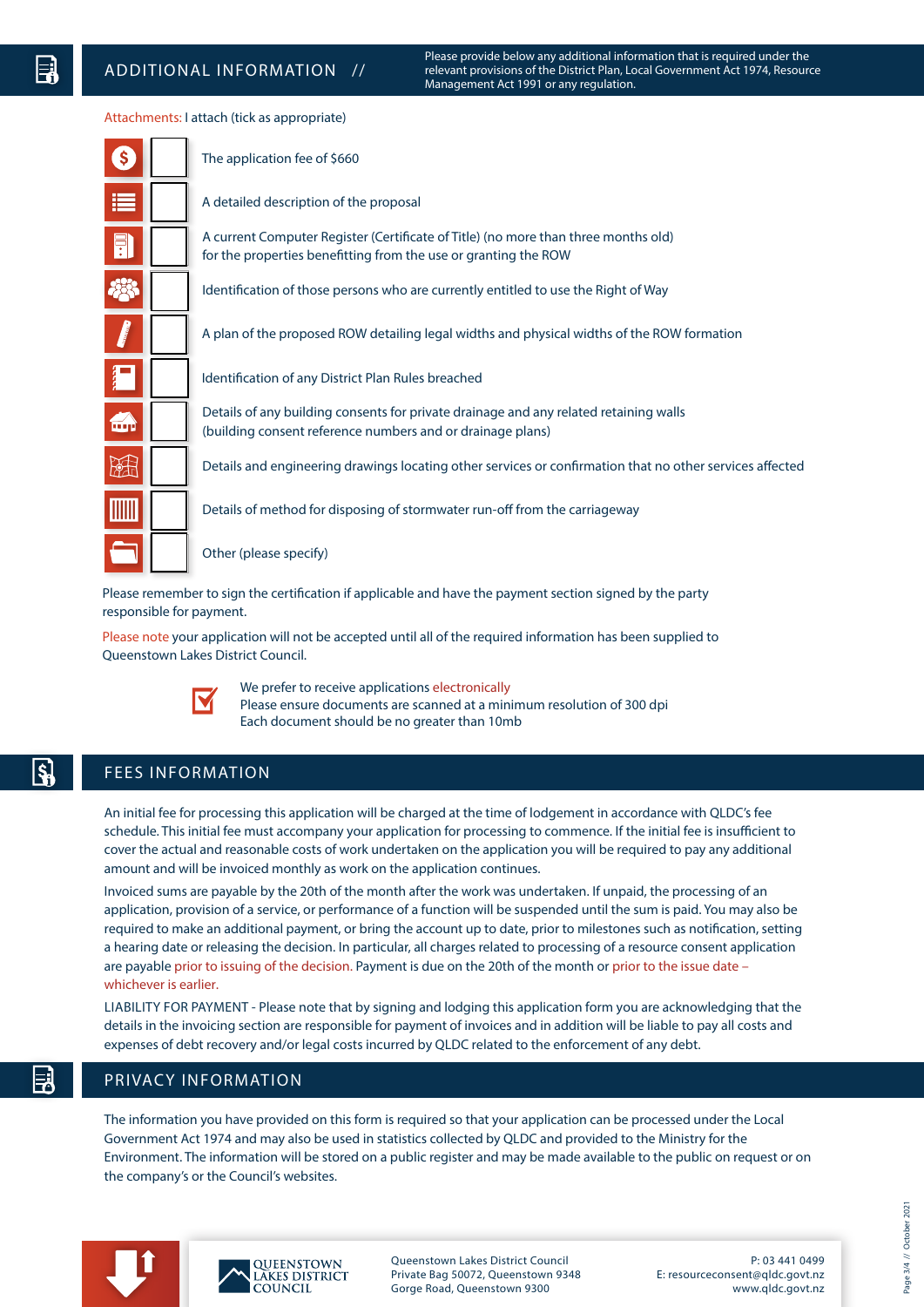Please provide below any additional information that is required under the relevant provisions of the District Plan, Local Government Act 1974, Resource Management Act 1991 or any regulation.

#### Attachments: I attach (tick as appropriate)

| $\left($ | The application fee of \$660                                                                                                                          |
|----------|-------------------------------------------------------------------------------------------------------------------------------------------------------|
| E        | A detailed description of the proposal                                                                                                                |
| Ħ        | A current Computer Register (Certificate of Title) (no more than three months old)<br>for the properties benefitting from the use or granting the ROW |
|          | Identification of those persons who are currently entitled to use the Right of Way                                                                    |
|          | A plan of the proposed ROW detailing legal widths and physical widths of the ROW formation                                                            |
| Ä        | Identification of any District Plan Rules breached                                                                                                    |
| فت       | Details of any building consents for private drainage and any related retaining walls<br>(building consent reference numbers and or drainage plans)   |
| 蹬        | Details and engineering drawings locating other services or confirmation that no other services affected                                              |
|          | Details of method for disposing of stormwater run-off from the carriageway                                                                            |
|          | Other (please specify)                                                                                                                                |
|          | harta cian tha cartification if annlicable and have the nayment costion cianod by the narty                                                           |

Please remember to sign the certification if applicable and have the payment section signed by the party responsible for payment.

Please note your application will not be accepted until all of the required information has been supplied to Queenstown Lakes District Council.



We prefer to receive applications electronically Please ensure documents are scanned at a minimum resolution of 300 dpi Each document should be no greater than 10mb

## FEES INFORMATION

An initial fee for processing this application will be charged at the time of lodgement in accordance with QLDC's fee schedule. This initial fee must accompany your application for processing to commence. If the initial fee is insufficient to cover the actual and reasonable costs of work undertaken on the application you will be required to pay any additional amount and will be invoiced monthly as work on the application continues.

Invoiced sums are payable by the 20th of the month after the work was undertaken. If unpaid, the processing of an application, provision of a service, or performance of a function will be suspended until the sum is paid. You may also be required to make an additional payment, or bring the account up to date, prior to milestones such as notification, setting a hearing date or releasing the decision. In particular, all charges related to processing of a resource consent application are payable prior to issuing of the decision. Payment is due on the 20th of the month or prior to the issue date – whichever is earlier.

LIABILITY FOR PAYMENT - Please note that by signing and lodging this application form you are acknowledging that the details in the invoicing section are responsible for payment of invoices and in addition will be liable to pay all costs and expenses of debt recovery and/or legal costs incurred by QLDC related to the enforcement of any debt.

## PRIVACY INFORMATION

The information you have provided on this form is required so that your application can be processed under the Local Government Act 1974 and may also be used in statistics collected by QLDC and provided to the Ministry for the Environment. The information will be stored on a public register and may be made available to the public on request or on the company's or the Council's websites.





Queenstown Lakes District Council Private Bag 50072, Queenstown 9348 Gorge Road, Queenstown 9300